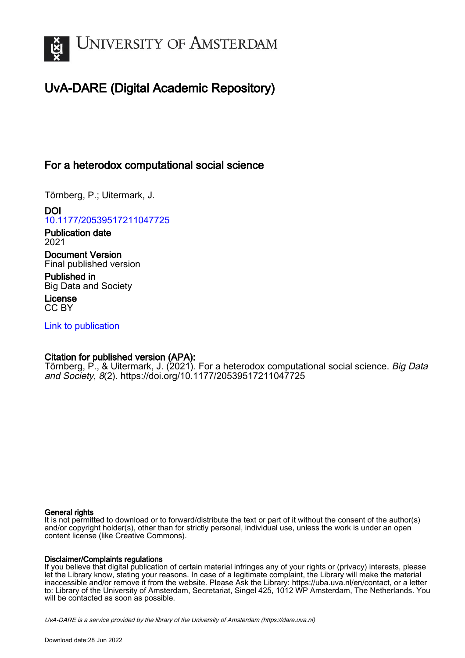

# UvA-DARE (Digital Academic Repository)

# For a heterodox computational social science

Törnberg, P.; Uitermark, J.

DOI [10.1177/20539517211047725](https://doi.org/10.1177/20539517211047725)

Publication date 2021

Document Version Final published version

Published in Big Data and Society

License CC BY

[Link to publication](https://dare.uva.nl/personal/pure/en/publications/for-a-heterodox-computational-social-science(f87e488a-9876-43fb-b5f9-980a17540dae).html)

# Citation for published version (APA):

Törnberg, P., & Uitermark, J. (2021). For a heterodox computational social science. Big Data and Society, 8(2).<https://doi.org/10.1177/20539517211047725>

## General rights

It is not permitted to download or to forward/distribute the text or part of it without the consent of the author(s) and/or copyright holder(s), other than for strictly personal, individual use, unless the work is under an open content license (like Creative Commons).

# Disclaimer/Complaints regulations

If you believe that digital publication of certain material infringes any of your rights or (privacy) interests, please let the Library know, stating your reasons. In case of a legitimate complaint, the Library will make the material inaccessible and/or remove it from the website. Please Ask the Library: https://uba.uva.nl/en/contact, or a letter to: Library of the University of Amsterdam, Secretariat, Singel 425, 1012 WP Amsterdam, The Netherlands. You will be contacted as soon as possible.

UvA-DARE is a service provided by the library of the University of Amsterdam (http*s*://dare.uva.nl)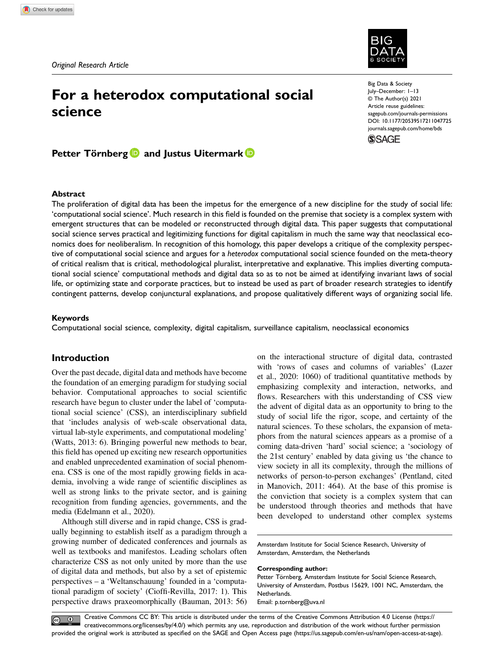# For a heterodox computational social science

Big Data & Society July–December: 1–13 © The Author(s) 2021 Article reuse guidelines: [sagepub.com/journals-permissions](https://us.sagepub.com/en-us/journals-permissions) DOI: 10.1177/20539517211047725 [journals.sagepub.com/home/bds](https://journals.sagepub.com/home/bds)



Petter Törnberg **D** and Justus Uitermark **D** 

#### Abstract

The proliferation of digital data has been the impetus for the emergence of a new discipline for the study of social life: 'computational social science'. Much research in this field is founded on the premise that society is a complex system with emergent structures that can be modeled or reconstructed through digital data. This paper suggests that computational social science serves practical and legitimizing functions for digital capitalism in much the same way that neoclassical economics does for neoliberalism. In recognition of this homology, this paper develops a critique of the complexity perspective of computational social science and argues for a heterodox computational social science founded on the meta-theory of critical realism that is critical, methodological pluralist, interpretative and explanative. This implies diverting computational social science' computational methods and digital data so as to not be aimed at identifying invariant laws of social life, or optimizing state and corporate practices, but to instead be used as part of broader research strategies to identify contingent patterns, develop conjunctural explanations, and propose qualitatively different ways of organizing social life.

#### Keywords

Computational social science, complexity, digital capitalism, surveillance capitalism, neoclassical economics

# Introduction

Over the past decade, digital data and methods have become the foundation of an emerging paradigm for studying social behavior. Computational approaches to social scientific research have begun to cluster under the label of 'computational social science' (CSS), an interdisciplinary subfield that 'includes analysis of web-scale observational data, virtual lab-style experiments, and computational modeling' (Watts, 2013: 6). Bringing powerful new methods to bear, this field has opened up exciting new research opportunities and enabled unprecedented examination of social phenomena. CSS is one of the most rapidly growing fields in academia, involving a wide range of scientific disciplines as well as strong links to the private sector, and is gaining recognition from funding agencies, governments, and the media (Edelmann et al., 2020).

Although still diverse and in rapid change, CSS is gradually beginning to establish itself as a paradigm through a growing number of dedicated conferences and journals as well as textbooks and manifestos. Leading scholars often characterize CSS as not only united by more than the use of digital data and methods, but also by a set of epistemic perspectives – a 'Weltanschauung' founded in a 'computational paradigm of society' (Cioffi-Revilla, 2017: 1). This perspective draws praxeomorphically (Bauman, 2013: 56)

on the interactional structure of digital data, contrasted with 'rows of cases and columns of variables' (Lazer et al., 2020: 1060) of traditional quantitative methods by emphasizing complexity and interaction, networks, and flows. Researchers with this understanding of CSS view the advent of digital data as an opportunity to bring to the study of social life the rigor, scope, and certainty of the natural sciences. To these scholars, the expansion of metaphors from the natural sciences appears as a promise of a coming data-driven 'hard' social science; a 'sociology of the 21st century' enabled by data giving us 'the chance to view society in all its complexity, through the millions of networks of person-to-person exchanges' (Pentland, cited in Manovich, 2011: 464). At the base of this promise is the conviction that society is a complex system that can be understood through theories and methods that have been developed to understand other complex systems

Amsterdam Institute for Social Science Research, University of Amsterdam, Amsterdam, the Netherlands

#### Corresponding author:

Petter Törnberg, Amsterdam Institute for Social Science Research, University of Amsterdam, Postbus 15629, 1001 NC, Amsterdam, the Netherlands. Email: [p.tornberg@uva.nl](mailto:p.tornberg@uva.nl)

Creative Commons CC BY: This article is distributed under the terms of the Creative Commons Attribution 4.0 License ([https://](https://creativecommons.org/licenses/by/4.0/) [creativecommons.org/licenses/by/4.0/\) which permits any use, reproduction and distribution of the work without further permission](https://creativecommons.org/licenses/by/4.0/) provided the original work is attributed as specifi[ed on the SAGE and Open Access page \(https://us.sagepub.com/en-us/nam/open-access-at-sage\).](https://us.sagepub.com/en-us/nam/open-access-at-sage)

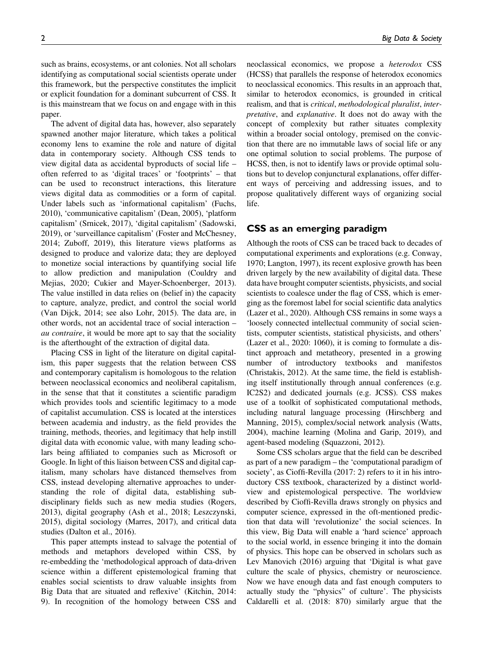such as brains, ecosystems, or ant colonies. Not all scholars identifying as computational social scientists operate under this framework, but the perspective constitutes the implicit

paper. The advent of digital data has, however, also separately spawned another major literature, which takes a political economy lens to examine the role and nature of digital data in contemporary society. Although CSS tends to view digital data as accidental byproducts of social life – often referred to as 'digital traces' or 'footprints' – that can be used to reconstruct interactions, this literature views digital data as commodities or a form of capital. Under labels such as 'informational capitalism' (Fuchs, 2010), 'communicative capitalism' (Dean, 2005), 'platform capitalism' (Srnicek, 2017), 'digital capitalism' (Sadowski, 2019), or 'surveillance capitalism' (Foster and McChesney, 2014; Zuboff, 2019), this literature views platforms as designed to produce and valorize data; they are deployed to monetize social interactions by quantifying social life to allow prediction and manipulation (Couldry and Mejias, 2020; Cukier and Mayer-Schoenberger, 2013). The value instilled in data relies on (belief in) the capacity to capture, analyze, predict, and control the social world (Van Dijck, 2014; see also Lohr, 2015). The data are, in other words, not an accidental trace of social interaction – au contraire, it would be more apt to say that the sociality is the afterthought of the extraction of digital data.

or explicit foundation for a dominant subcurrent of CSS. It is this mainstream that we focus on and engage with in this

Placing CSS in light of the literature on digital capitalism, this paper suggests that the relation between CSS and contemporary capitalism is homologous to the relation between neoclassical economics and neoliberal capitalism, in the sense that that it constitutes a scientific paradigm which provides tools and scientific legitimacy to a mode of capitalist accumulation. CSS is located at the interstices between academia and industry, as the field provides the training, methods, theories, and legitimacy that help instill digital data with economic value, with many leading scholars being affiliated to companies such as Microsoft or Google. In light of this liaison between CSS and digital capitalism, many scholars have distanced themselves from CSS, instead developing alternative approaches to understanding the role of digital data, establishing subdisciplinary fields such as new media studies (Rogers, 2013), digital geography (Ash et al., 2018; Leszczynski, 2015), digital sociology (Marres, 2017), and critical data studies (Dalton et al., 2016).

This paper attempts instead to salvage the potential of methods and metaphors developed within CSS, by re-embedding the 'methodological approach of data-driven science within a different epistemological framing that enables social scientists to draw valuable insights from Big Data that are situated and reflexive' (Kitchin, 2014: 9). In recognition of the homology between CSS and

neoclassical economics, we propose a heterodox CSS (HCSS) that parallels the response of heterodox economics to neoclassical economics. This results in an approach that, similar to heterodox economics, is grounded in critical realism, and that is critical, methodological pluralist, interpretative, and explanative. It does not do away with the concept of complexity but rather situates complexity within a broader social ontology, premised on the conviction that there are no immutable laws of social life or any one optimal solution to social problems. The purpose of HCSS, then, is not to identify laws or provide optimal solutions but to develop conjunctural explanations, offer different ways of perceiving and addressing issues, and to propose qualitatively different ways of organizing social life.

# CSS as an emerging paradigm

Although the roots of CSS can be traced back to decades of computational experiments and explorations (e.g. Conway, 1970; Langton, 1997), its recent explosive growth has been driven largely by the new availability of digital data. These data have brought computer scientists, physicists, and social scientists to coalesce under the flag of CSS, which is emerging as the foremost label for social scientific data analytics (Lazer et al., 2020). Although CSS remains in some ways a 'loosely connected intellectual community of social scientists, computer scientists, statistical physicists, and others' (Lazer et al., 2020: 1060), it is coming to formulate a distinct approach and metatheory, presented in a growing number of introductory textbooks and manifestos (Christakis, 2012). At the same time, the field is establishing itself institutionally through annual conferences (e.g. IC2S2) and dedicated journals (e.g. JCSS). CSS makes use of a toolkit of sophisticated computational methods, including natural language processing (Hirschberg and Manning, 2015), complex/social network analysis (Watts, 2004), machine learning (Molina and Garip, 2019), and agent-based modeling (Squazzoni, 2012).

Some CSS scholars argue that the field can be described as part of a new paradigm – the 'computational paradigm of society', as Cioffi-Revilla (2017: 2) refers to it in his introductory CSS textbook, characterized by a distinct worldview and epistemological perspective. The worldview described by Cioffi-Revilla draws strongly on physics and computer science, expressed in the oft-mentioned prediction that data will 'revolutionize' the social sciences. In this view, Big Data will enable a 'hard science' approach to the social world, in essence bringing it into the domain of physics. This hope can be observed in scholars such as Lev Manovich (2016) arguing that 'Digital is what gave culture the scale of physics, chemistry or neuroscience. Now we have enough data and fast enough computers to actually study the "physics" of culture'. The physicists Caldarelli et al. (2018: 870) similarly argue that the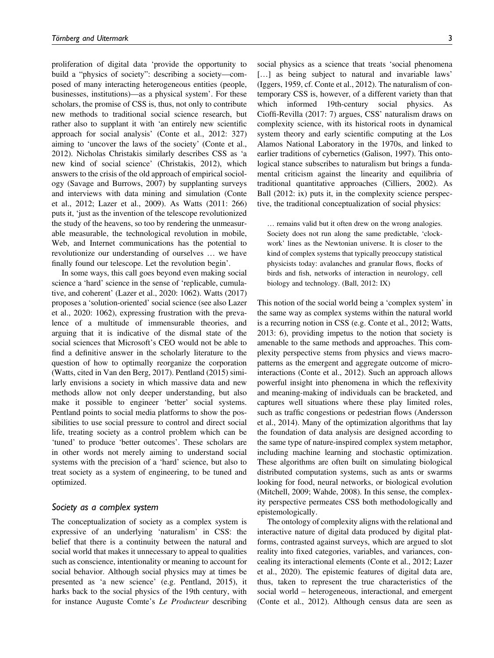proliferation of digital data 'provide the opportunity to build a "physics of society": describing a society—composed of many interacting heterogeneous entities (people, businesses, institutions)—as a physical system'. For these scholars, the promise of CSS is, thus, not only to contribute new methods to traditional social science research, but rather also to supplant it with 'an entirely new scientific approach for social analysis' (Conte et al., 2012: 327) aiming to 'uncover the laws of the society' (Conte et al., 2012). Nicholas Christakis similarly describes CSS as 'a new kind of social science' (Christakis, 2012), which answers to the crisis of the old approach of empirical sociology (Savage and Burrows, 2007) by supplanting surveys and interviews with data mining and simulation (Conte et al., 2012; Lazer et al., 2009). As Watts (2011: 266) puts it, 'just as the invention of the telescope revolutionized the study of the heavens, so too by rendering the unmeasurable measurable, the technological revolution in mobile, Web, and Internet communications has the potential to revolutionize our understanding of ourselves … we have finally found our telescope. Let the revolution begin'.

In some ways, this call goes beyond even making social science a 'hard' science in the sense of 'replicable, cumulative, and coherent' (Lazer et al., 2020: 1062). Watts (2017) proposes a 'solution-oriented' social science (see also Lazer et al., 2020: 1062), expressing frustration with the prevalence of a multitude of immensurable theories, and arguing that it is indicative of the dismal state of the social sciences that Microsoft's CEO would not be able to find a definitive answer in the scholarly literature to the question of how to optimally reorganize the corporation (Watts, cited in Van den Berg, 2017). Pentland (2015) similarly envisions a society in which massive data and new methods allow not only deeper understanding, but also make it possible to engineer 'better' social systems. Pentland points to social media platforms to show the possibilities to use social pressure to control and direct social life, treating society as a control problem which can be 'tuned' to produce 'better outcomes'. These scholars are in other words not merely aiming to understand social systems with the precision of a 'hard' science, but also to treat society as a system of engineering, to be tuned and optimized.

#### Society as a complex system

The conceptualization of society as a complex system is expressive of an underlying 'naturalism' in CSS: the belief that there is a continuity between the natural and social world that makes it unnecessary to appeal to qualities such as conscience, intentionality or meaning to account for social behavior. Although social physics may at times be presented as 'a new science' (e.g. Pentland, 2015), it harks back to the social physics of the 19th century, with for instance Auguste Comte's Le Producteur describing social physics as a science that treats 'social phenomena [...] as being subject to natural and invariable laws' (Iggers, 1959, cf. Conte et al., 2012). The naturalism of contemporary CSS is, however, of a different variety than that which informed 19th-century social physics. As Cioffi-Revilla (2017: 7) argues, CSS' naturalism draws on complexity science, with its historical roots in dynamical system theory and early scientific computing at the Los Alamos National Laboratory in the 1970s, and linked to earlier traditions of cybernetics (Galison, 1997). This ontological stance subscribes to naturalism but brings a fundamental criticism against the linearity and equilibria of traditional quantitative approaches (Cilliers, 2002). As Ball (2012: ix) puts it, in the complexity science perspective, the traditional conceptualization of social physics:

… remains valid but it often drew on the wrong analogies. Society does not run along the same predictable, 'clockwork' lines as the Newtonian universe. It is closer to the kind of complex systems that typically preoccupy statistical physicists today: avalanches and granular flows, flocks of birds and fish, networks of interaction in neurology, cell biology and technology. (Ball, 2012: IX)

This notion of the social world being a 'complex system' in the same way as complex systems within the natural world is a recurring notion in CSS (e.g. Conte et al., 2012; Watts, 2013: 6), providing impetus to the notion that society is amenable to the same methods and approaches. This complexity perspective stems from physics and views macropatterns as the emergent and aggregate outcome of microinteractions (Conte et al., 2012). Such an approach allows powerful insight into phenomena in which the reflexivity and meaning-making of individuals can be bracketed, and captures well situations where these play limited roles, such as traffic congestions or pedestrian flows (Andersson et al., 2014). Many of the optimization algorithms that lay the foundation of data analysis are designed according to the same type of nature-inspired complex system metaphor, including machine learning and stochastic optimization. These algorithms are often built on simulating biological distributed computation systems, such as ants or swarms looking for food, neural networks, or biological evolution (Mitchell, 2009; Wahde, 2008). In this sense, the complexity perspective permeates CSS both methodologically and epistemologically.

The ontology of complexity aligns with the relational and interactive nature of digital data produced by digital platforms, contrasted against surveys, which are argued to slot reality into fixed categories, variables, and variances, concealing its interactional elements (Conte et al., 2012; Lazer et al., 2020). The epistemic features of digital data are, thus, taken to represent the true characteristics of the social world – heterogeneous, interactional, and emergent (Conte et al., 2012). Although census data are seen as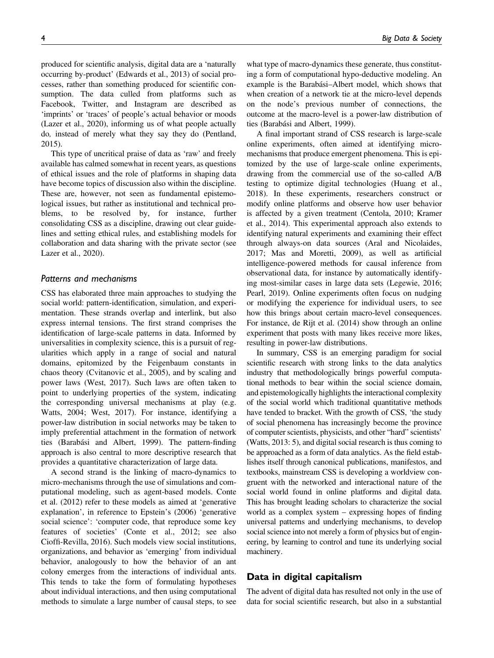produced for scientific analysis, digital data are a 'naturally occurring by-product' (Edwards et al., 2013) of social processes, rather than something produced for scientific consumption. The data culled from platforms such as Facebook, Twitter, and Instagram are described as 'imprints' or 'traces' of people's actual behavior or moods (Lazer et al., 2020), informing us of what people actually do, instead of merely what they say they do (Pentland, 2015).

This type of uncritical praise of data as 'raw' and freely available has calmed somewhat in recent years, as questions of ethical issues and the role of platforms in shaping data have become topics of discussion also within the discipline. These are, however, not seen as fundamental epistemological issues, but rather as institutional and technical problems, to be resolved by, for instance, further consolidating CSS as a discipline, drawing out clear guidelines and setting ethical rules, and establishing models for collaboration and data sharing with the private sector (see Lazer et al., 2020).

#### Patterns and mechanisms

CSS has elaborated three main approaches to studying the social world: pattern-identification, simulation, and experimentation. These strands overlap and interlink, but also express internal tensions. The first strand comprises the identification of large-scale patterns in data. Informed by universalities in complexity science, this is a pursuit of regularities which apply in a range of social and natural domains, epitomized by the Feigenbaum constants in chaos theory (Cvitanovic et al., 2005), and by scaling and power laws (West, 2017). Such laws are often taken to point to underlying properties of the system, indicating the corresponding universal mechanisms at play (e.g. Watts, 2004; West, 2017). For instance, identifying a power-law distribution in social networks may be taken to imply preferential attachment in the formation of network ties (Barabási and Albert, 1999). The pattern-finding approach is also central to more descriptive research that provides a quantitative characterization of large data.

A second strand is the linking of macro-dynamics to micro-mechanisms through the use of simulations and computational modeling, such as agent-based models. Conte et al. (2012) refer to these models as aimed at 'generative explanation', in reference to Epstein's (2006) 'generative social science': 'computer code, that reproduce some key features of societies' (Conte et al., 2012; see also Cioffi-Revilla, 2016). Such models view social institutions, organizations, and behavior as 'emerging' from individual behavior, analogously to how the behavior of an ant colony emerges from the interactions of individual ants. This tends to take the form of formulating hypotheses about individual interactions, and then using computational methods to simulate a large number of causal steps, to see

what type of macro-dynamics these generate, thus constituting a form of computational hypo-deductive modeling. An example is the Barabási–Albert model, which shows that when creation of a network tie at the micro-level depends on the node's previous number of connections, the outcome at the macro-level is a power-law distribution of ties (Barabási and Albert, 1999).

A final important strand of CSS research is large-scale online experiments, often aimed at identifying micromechanisms that produce emergent phenomena. This is epitomized by the use of large-scale online experiments, drawing from the commercial use of the so-called A/B testing to optimize digital technologies (Huang et al., 2018). In these experiments, researchers construct or modify online platforms and observe how user behavior is affected by a given treatment (Centola, 2010; Kramer et al., 2014). This experimental approach also extends to identifying natural experiments and examining their effect through always-on data sources (Aral and Nicolaides, 2017; Mas and Moretti, 2009), as well as artificial intelligence-powered methods for causal inference from observational data, for instance by automatically identifying most-similar cases in large data sets (Legewie, 2016; Pearl, 2019). Online experiments often focus on nudging or modifying the experience for individual users, to see how this brings about certain macro-level consequences. For instance, de Rijt et al. (2014) show through an online experiment that posts with many likes receive more likes, resulting in power-law distributions.

In summary, CSS is an emerging paradigm for social scientific research with strong links to the data analytics industry that methodologically brings powerful computational methods to bear within the social science domain, and epistemologically highlights the interactional complexity of the social world which traditional quantitative methods have tended to bracket. With the growth of CSS, 'the study of social phenomena has increasingly become the province of computer scientists, physicists, and other "hard" scientists' (Watts, 2013: 5), and digital social research is thus coming to be approached as a form of data analytics. As the field establishes itself through canonical publications, manifestos, and textbooks, mainstream CSS is developing a worldview congruent with the networked and interactional nature of the social world found in online platforms and digital data. This has brought leading scholars to characterize the social world as a complex system – expressing hopes of finding universal patterns and underlying mechanisms, to develop social science into not merely a form of physics but of engineering, by learning to control and tune its underlying social machinery.

# Data in digital capitalism

The advent of digital data has resulted not only in the use of data for social scientific research, but also in a substantial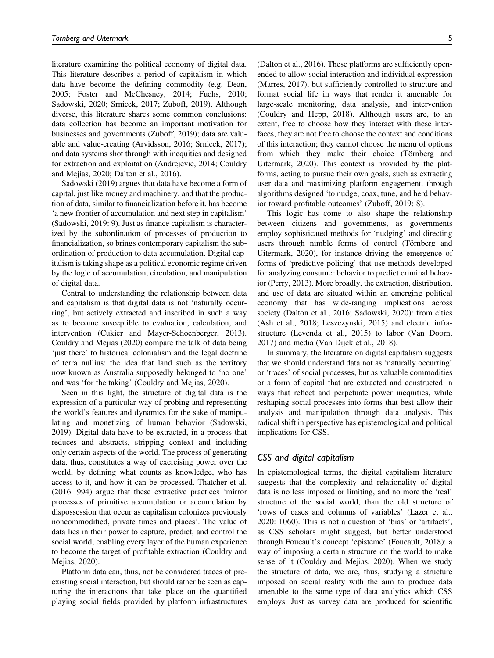literature examining the political economy of digital data. This literature describes a period of capitalism in which data have become the defining commodity (e.g. Dean, 2005; Foster and McChesney, 2014; Fuchs, 2010; Sadowski, 2020; Srnicek, 2017; Zuboff, 2019). Although diverse, this literature shares some common conclusions: data collection has become an important motivation for businesses and governments (Zuboff, 2019); data are valuable and value-creating (Arvidsson, 2016; Srnicek, 2017); and data systems shot through with inequities and designed for extraction and exploitation (Andrejevic, 2014; Couldry and Mejias, 2020; Dalton et al., 2016).

Sadowski (2019) argues that data have become a form of capital, just like money and machinery, and that the production of data, similar to financialization before it, has become 'a new frontier of accumulation and next step in capitalism' (Sadowski, 2019: 9). Just as finance capitalism is characterized by the subordination of processes of production to financialization, so brings contemporary capitalism the subordination of production to data accumulation. Digital capitalism is taking shape as a political economic regime driven by the logic of accumulation, circulation, and manipulation of digital data.

Central to understanding the relationship between data and capitalism is that digital data is not 'naturally occurring', but actively extracted and inscribed in such a way as to become susceptible to evaluation, calculation, and intervention (Cukier and Mayer-Schoenberger, 2013). Couldry and Mejias (2020) compare the talk of data being 'just there' to historical colonialism and the legal doctrine of terra nullius: the idea that land such as the territory now known as Australia supposedly belonged to 'no one' and was 'for the taking' (Couldry and Mejias, 2020).

Seen in this light, the structure of digital data is the expression of a particular way of probing and representing the world's features and dynamics for the sake of manipulating and monetizing of human behavior (Sadowski, 2019). Digital data have to be extracted, in a process that reduces and abstracts, stripping context and including only certain aspects of the world. The process of generating data, thus, constitutes a way of exercising power over the world, by defining what counts as knowledge, who has access to it, and how it can be processed. Thatcher et al. (2016: 994) argue that these extractive practices 'mirror processes of primitive accumulation or accumulation by dispossession that occur as capitalism colonizes previously noncommodified, private times and places'. The value of data lies in their power to capture, predict, and control the social world, enabling every layer of the human experience to become the target of profitable extraction (Couldry and Mejias, 2020).

Platform data can, thus, not be considered traces of preexisting social interaction, but should rather be seen as capturing the interactions that take place on the quantified playing social fields provided by platform infrastructures (Dalton et al., 2016). These platforms are sufficiently openended to allow social interaction and individual expression (Marres, 2017), but sufficiently controlled to structure and format social life in ways that render it amenable for large-scale monitoring, data analysis, and intervention (Couldry and Hepp, 2018). Although users are, to an extent, free to choose how they interact with these interfaces, they are not free to choose the context and conditions of this interaction; they cannot choose the menu of options from which they make their choice (Törnberg and Uitermark, 2020). This context is provided by the platforms, acting to pursue their own goals, such as extracting user data and maximizing platform engagement, through algorithms designed 'to nudge, coax, tune, and herd behavior toward profitable outcomes' (Zuboff, 2019: 8).

This logic has come to also shape the relationship between citizens and governments, as governments employ sophisticated methods for 'nudging' and directing users through nimble forms of control (Törnberg and Uitermark, 2020), for instance driving the emergence of forms of 'predictive policing' that use methods developed for analyzing consumer behavior to predict criminal behavior (Perry, 2013). More broadly, the extraction, distribution, and use of data are situated within an emerging political economy that has wide-ranging implications across society (Dalton et al., 2016; Sadowski, 2020): from cities (Ash et al., 2018; Leszczynski, 2015) and electric infrastructure (Levenda et al., 2015) to labor (Van Doorn, 2017) and media (Van Dijck et al., 2018).

In summary, the literature on digital capitalism suggests that we should understand data not as 'naturally occurring' or 'traces' of social processes, but as valuable commodities or a form of capital that are extracted and constructed in ways that reflect and perpetuate power inequities, while reshaping social processes into forms that best allow their analysis and manipulation through data analysis. This radical shift in perspective has epistemological and political implications for CSS.

#### CSS and digital capitalism

In epistemological terms, the digital capitalism literature suggests that the complexity and relationality of digital data is no less imposed or limiting, and no more the 'real' structure of the social world, than the old structure of 'rows of cases and columns of variables' (Lazer et al., 2020: 1060). This is not a question of 'bias' or 'artifacts', as CSS scholars might suggest, but better understood through Foucault's concept 'episteme' (Foucault, 2018): a way of imposing a certain structure on the world to make sense of it (Couldry and Mejias, 2020). When we study the structure of data, we are, thus, studying a structure imposed on social reality with the aim to produce data amenable to the same type of data analytics which CSS employs. Just as survey data are produced for scientific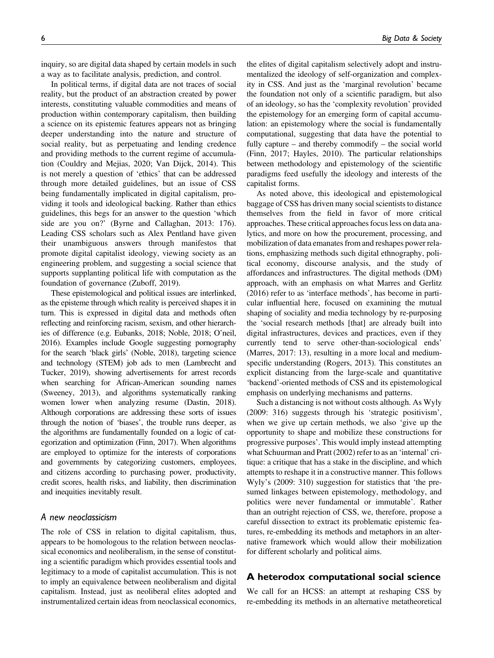inquiry, so are digital data shaped by certain models in such a way as to facilitate analysis, prediction, and control.

In political terms, if digital data are not traces of social reality, but the product of an abstraction created by power interests, constituting valuable commodities and means of production within contemporary capitalism, then building a science on its epistemic features appears not as bringing deeper understanding into the nature and structure of social reality, but as perpetuating and lending credence and providing methods to the current regime of accumulation (Couldry and Mejias, 2020; Van Dijck, 2014). This is not merely a question of 'ethics' that can be addressed through more detailed guidelines, but an issue of CSS being fundamentally implicated in digital capitalism, providing it tools and ideological backing. Rather than ethics guidelines, this begs for an answer to the question 'which side are you on?' (Byrne and Callaghan, 2013: 176). Leading CSS scholars such as Alex Pentland have given their unambiguous answers through manifestos that promote digital capitalist ideology, viewing society as an engineering problem, and suggesting a social science that supports supplanting political life with computation as the foundation of governance (Zuboff, 2019).

These epistemological and political issues are interlinked, as the episteme through which reality is perceived shapes it in turn. This is expressed in digital data and methods often reflecting and reinforcing racism, sexism, and other hierarchies of difference (e.g. Eubanks, 2018; Noble, 2018; O'neil, 2016). Examples include Google suggesting pornography for the search 'black girls' (Noble, 2018), targeting science and technology (STEM) job ads to men (Lambrecht and Tucker, 2019), showing advertisements for arrest records when searching for African-American sounding names (Sweeney, 2013), and algorithms systematically ranking women lower when analyzing resume (Dastin, 2018). Although corporations are addressing these sorts of issues through the notion of 'biases', the trouble runs deeper, as the algorithms are fundamentally founded on a logic of categorization and optimization (Finn, 2017). When algorithms are employed to optimize for the interests of corporations and governments by categorizing customers, employees, and citizens according to purchasing power, productivity, credit scores, health risks, and liability, then discrimination and inequities inevitably result.

#### A new neoclassicism

The role of CSS in relation to digital capitalism, thus, appears to be homologous to the relation between neoclassical economics and neoliberalism, in the sense of constituting a scientific paradigm which provides essential tools and legitimacy to a mode of capitalist accumulation. This is not to imply an equivalence between neoliberalism and digital capitalism. Instead, just as neoliberal elites adopted and instrumentalized certain ideas from neoclassical economics,

the elites of digital capitalism selectively adopt and instrumentalized the ideology of self-organization and complexity in CSS. And just as the 'marginal revolution' became the foundation not only of a scientific paradigm, but also of an ideology, so has the 'complexity revolution' provided the epistemology for an emerging form of capital accumulation: an epistemology where the social is fundamentally computational, suggesting that data have the potential to fully capture – and thereby commodify – the social world (Finn, 2017; Hayles, 2010). The particular relationships between methodology and epistemology of the scientific paradigms feed usefully the ideology and interests of the capitalist forms.

As noted above, this ideological and epistemological baggage of CSS has driven many social scientists to distance themselves from the field in favor of more critical approaches. These critical approaches focus less on data analytics, and more on how the procurement, processing, and mobilization of data emanates from and reshapes power relations, emphasizing methods such digital ethnography, political economy, discourse analysis, and the study of affordances and infrastructures. The digital methods (DM) approach, with an emphasis on what Marres and Gerlitz (2016) refer to as 'interface methods', has become in particular influential here, focused on examining the mutual shaping of sociality and media technology by re-purposing the 'social research methods [that] are already built into digital infrastructures, devices and practices, even if they currently tend to serve other-than-sociological ends' (Marres, 2017: 13), resulting in a more local and mediumspecific understanding (Rogers, 2013). This constitutes an explicit distancing from the large-scale and quantitative 'backend'-oriented methods of CSS and its epistemological emphasis on underlying mechanisms and patterns.

Such a distancing is not without costs although. As Wyly (2009: 316) suggests through his 'strategic positivism', when we give up certain methods, we also 'give up the opportunity to shape and mobilize these constructions for progressive purposes'. This would imply instead attempting what Schuurman and Pratt (2002) refer to as an 'internal' critique: a critique that has a stake in the discipline, and which attempts to reshape it in a constructive manner. This follows Wyly's (2009: 310) suggestion for statistics that 'the presumed linkages between epistemology, methodology, and politics were never fundamental or immutable'. Rather than an outright rejection of CSS, we, therefore, propose a careful dissection to extract its problematic epistemic features, re-embedding its methods and metaphors in an alternative framework which would allow their mobilization for different scholarly and political aims.

### A heterodox computational social science

We call for an HCSS: an attempt at reshaping CSS by re-embedding its methods in an alternative metatheoretical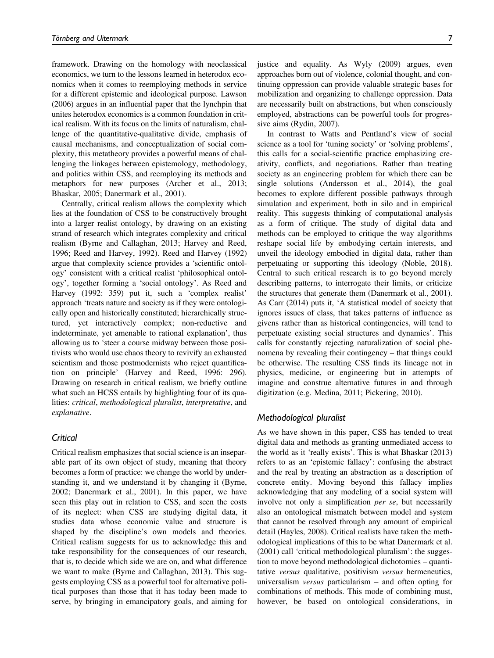framework. Drawing on the homology with neoclassical economics, we turn to the lessons learned in heterodox economics when it comes to reemploying methods in service for a different epistemic and ideological purpose. Lawson (2006) argues in an influential paper that the lynchpin that unites heterodox economics is a common foundation in critical realism. With its focus on the limits of naturalism, challenge of the quantitative-qualitative divide, emphasis of causal mechanisms, and conceptualization of social complexity, this metatheory provides a powerful means of challenging the linkages between epistemology, methodology, and politics within CSS, and reemploying its methods and metaphors for new purposes (Archer et al., 2013; Bhaskar, 2005; Danermark et al., 2001).

Centrally, critical realism allows the complexity which lies at the foundation of CSS to be constructively brought into a larger realist ontology, by drawing on an existing strand of research which integrates complexity and critical realism (Byrne and Callaghan, 2013; Harvey and Reed, 1996; Reed and Harvey, 1992). Reed and Harvey (1992) argue that complexity science provides a 'scientific ontology' consistent with a critical realist 'philosophical ontology', together forming a 'social ontology'. As Reed and Harvey (1992: 359) put it, such a 'complex realist' approach 'treats nature and society as if they were ontologically open and historically constituted; hierarchically structured, yet interactively complex; non-reductive and indeterminate, yet amenable to rational explanation', thus allowing us to 'steer a course midway between those positivists who would use chaos theory to revivify an exhausted scientism and those postmodernists who reject quantification on principle' (Harvey and Reed, 1996: 296). Drawing on research in critical realism, we briefly outline what such an HCSS entails by highlighting four of its qualities: critical, methodological pluralist, interpretative, and explanative.

## Critical

Critical realism emphasizes that social science is an inseparable part of its own object of study, meaning that theory becomes a form of practice: we change the world by understanding it, and we understand it by changing it (Byrne, 2002; Danermark et al., 2001). In this paper, we have seen this play out in relation to CSS, and seen the costs of its neglect: when CSS are studying digital data, it studies data whose economic value and structure is shaped by the discipline's own models and theories. Critical realism suggests for us to acknowledge this and take responsibility for the consequences of our research, that is, to decide which side we are on, and what difference we want to make (Byrne and Callaghan, 2013). This suggests employing CSS as a powerful tool for alternative political purposes than those that it has today been made to serve, by bringing in emancipatory goals, and aiming for justice and equality. As Wyly (2009) argues, even approaches born out of violence, colonial thought, and continuing oppression can provide valuable strategic bases for mobilization and organizing to challenge oppression. Data are necessarily built on abstractions, but when consciously employed, abstractions can be powerful tools for progressive aims (Rydin, 2007).

In contrast to Watts and Pentland's view of social science as a tool for 'tuning society' or 'solving problems', this calls for a social-scientific practice emphasizing creativity, conflicts, and negotiations. Rather than treating society as an engineering problem for which there can be single solutions (Andersson et al., 2014), the goal becomes to explore different possible pathways through simulation and experiment, both in silo and in empirical reality. This suggests thinking of computational analysis as a form of critique. The study of digital data and methods can be employed to critique the way algorithms reshape social life by embodying certain interests, and unveil the ideology embodied in digital data, rather than perpetuating or supporting this ideology (Noble, 2018). Central to such critical research is to go beyond merely describing patterns, to interrogate their limits, or criticize the structures that generate them (Danermark et al., 2001). As Carr (2014) puts it, 'A statistical model of society that ignores issues of class, that takes patterns of influence as givens rather than as historical contingencies, will tend to perpetuate existing social structures and dynamics'. This calls for constantly rejecting naturalization of social phenomena by revealing their contingency – that things could be otherwise. The resulting CSS finds its lineage not in physics, medicine, or engineering but in attempts of imagine and construe alternative futures in and through digitization (e.g. Medina, 2011; Pickering, 2010).

#### Methodological pluralist

As we have shown in this paper, CSS has tended to treat digital data and methods as granting unmediated access to the world as it 'really exists'. This is what Bhaskar (2013) refers to as an 'epistemic fallacy': confusing the abstract and the real by treating an abstraction as a description of concrete entity. Moving beyond this fallacy implies acknowledging that any modeling of a social system will involve not only a simplification per se, but necessarily also an ontological mismatch between model and system that cannot be resolved through any amount of empirical detail (Hayles, 2008). Critical realists have taken the methodological implications of this to be what Danermark et al. (2001) call 'critical methodological pluralism': the suggestion to move beyond methodological dichotomies – quantitative versus qualitative, positivism versus hermeneutics, universalism versus particularism – and often opting for combinations of methods. This mode of combining must, however, be based on ontological considerations, in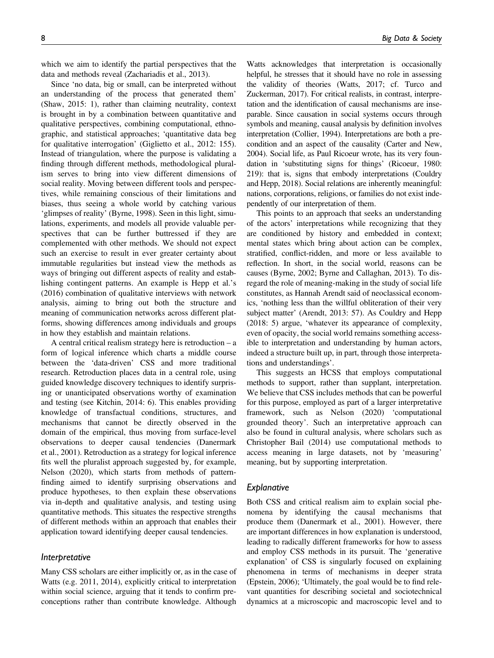which we aim to identify the partial perspectives that the data and methods reveal (Zachariadis et al., 2013).

Since 'no data, big or small, can be interpreted without an understanding of the process that generated them' (Shaw, 2015: 1), rather than claiming neutrality, context is brought in by a combination between quantitative and qualitative perspectives, combining computational, ethnographic, and statistical approaches; 'quantitative data beg for qualitative interrogation' (Giglietto et al., 2012: 155). Instead of triangulation, where the purpose is validating a finding through different methods, methodological pluralism serves to bring into view different dimensions of social reality. Moving between different tools and perspectives, while remaining conscious of their limitations and biases, thus seeing a whole world by catching various 'glimpses of reality' (Byrne, 1998). Seen in this light, simulations, experiments, and models all provide valuable perspectives that can be further buttressed if they are complemented with other methods. We should not expect such an exercise to result in ever greater certainty about immutable regularities but instead view the methods as ways of bringing out different aspects of reality and establishing contingent patterns. An example is Hepp et al.'s (2016) combination of qualitative interviews with network analysis, aiming to bring out both the structure and meaning of communication networks across different platforms, showing differences among individuals and groups in how they establish and maintain relations.

A central critical realism strategy here is retroduction – a form of logical inference which charts a middle course between the 'data-driven' CSS and more traditional research. Retroduction places data in a central role, using guided knowledge discovery techniques to identify surprising or unanticipated observations worthy of examination and testing (see Kitchin, 2014: 6). This enables providing knowledge of transfactual conditions, structures, and mechanisms that cannot be directly observed in the domain of the empirical, thus moving from surface-level observations to deeper causal tendencies (Danermark et al., 2001). Retroduction as a strategy for logical inference fits well the pluralist approach suggested by, for example, Nelson (2020), which starts from methods of patternfinding aimed to identify surprising observations and produce hypotheses, to then explain these observations via in-depth and qualitative analysis, and testing using quantitative methods. This situates the respective strengths of different methods within an approach that enables their application toward identifying deeper causal tendencies.

#### Interpretative

Many CSS scholars are either implicitly or, as in the case of Watts (e.g. 2011, 2014), explicitly critical to interpretation within social science, arguing that it tends to confirm preconceptions rather than contribute knowledge. Although

Watts acknowledges that interpretation is occasionally helpful, he stresses that it should have no role in assessing the validity of theories (Watts, 2017; cf. Turco and Zuckerman, 2017). For critical realists, in contrast, interpretation and the identification of causal mechanisms are inseparable. Since causation in social systems occurs through symbols and meaning, causal analysis by definition involves interpretation (Collier, 1994). Interpretations are both a precondition and an aspect of the causality (Carter and New, 2004). Social life, as Paul Ricoeur wrote, has its very foundation in 'substituting signs for things' (Ricoeur, 1980: 219): that is, signs that embody interpretations (Couldry and Hepp, 2018). Social relations are inherently meaningful: nations, corporations, religions, or families do not exist independently of our interpretation of them.

This points to an approach that seeks an understanding of the actors' interpretations while recognizing that they are conditioned by history and embedded in context; mental states which bring about action can be complex, stratified, conflict-ridden, and more or less available to reflection. In short, in the social world, reasons can be causes (Byrne, 2002; Byrne and Callaghan, 2013). To disregard the role of meaning-making in the study of social life constitutes, as Hannah Arendt said of neoclassical economics, 'nothing less than the willful obliteration of their very subject matter' (Arendt, 2013: 57). As Couldry and Hepp (2018: 5) argue, 'whatever its appearance of complexity, even of opacity, the social world remains something accessible to interpretation and understanding by human actors, indeed a structure built up, in part, through those interpretations and understandings'.

This suggests an HCSS that employs computational methods to support, rather than supplant, interpretation. We believe that CSS includes methods that can be powerful for this purpose, employed as part of a larger interpretative framework, such as Nelson (2020) 'computational grounded theory'. Such an interpretative approach can also be found in cultural analysis, where scholars such as Christopher Bail (2014) use computational methods to access meaning in large datasets, not by 'measuring' meaning, but by supporting interpretation.

#### Explanative

Both CSS and critical realism aim to explain social phenomena by identifying the causal mechanisms that produce them (Danermark et al., 2001). However, there are important differences in how explanation is understood, leading to radically different frameworks for how to assess and employ CSS methods in its pursuit. The 'generative explanation' of CSS is singularly focused on explaining phenomena in terms of mechanisms in deeper strata (Epstein, 2006); 'Ultimately, the goal would be to find relevant quantities for describing societal and sociotechnical dynamics at a microscopic and macroscopic level and to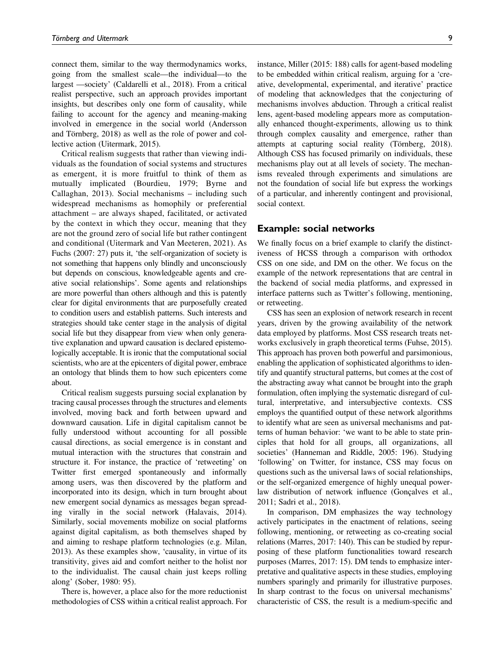connect them, similar to the way thermodynamics works, going from the smallest scale—the individual—to the largest —society' (Caldarelli et al., 2018). From a critical realist perspective, such an approach provides important insights, but describes only one form of causality, while failing to account for the agency and meaning-making involved in emergence in the social world (Andersson and Törnberg, 2018) as well as the role of power and collective action (Uitermark, 2015).

Critical realism suggests that rather than viewing individuals as the foundation of social systems and structures as emergent, it is more fruitful to think of them as mutually implicated (Bourdieu, 1979; Byrne and Callaghan, 2013). Social mechanisms – including such widespread mechanisms as homophily or preferential attachment – are always shaped, facilitated, or activated by the context in which they occur, meaning that they are not the ground zero of social life but rather contingent and conditional (Uitermark and Van Meeteren, 2021). As Fuchs (2007: 27) puts it, 'the self-organization of society is not something that happens only blindly and unconsciously but depends on conscious, knowledgeable agents and creative social relationships'. Some agents and relationships are more powerful than others although and this is patently clear for digital environments that are purposefully created to condition users and establish patterns. Such interests and strategies should take center stage in the analysis of digital social life but they disappear from view when only generative explanation and upward causation is declared epistemologically acceptable. It is ironic that the computational social scientists, who are at the epicenters of digital power, embrace an ontology that blinds them to how such epicenters come about.

Critical realism suggests pursuing social explanation by tracing causal processes through the structures and elements involved, moving back and forth between upward and downward causation. Life in digital capitalism cannot be fully understood without accounting for all possible causal directions, as social emergence is in constant and mutual interaction with the structures that constrain and structure it. For instance, the practice of 'retweeting' on Twitter first emerged spontaneously and informally among users, was then discovered by the platform and incorporated into its design, which in turn brought about new emergent social dynamics as messages began spreading virally in the social network (Halavais, 2014). Similarly, social movements mobilize on social platforms against digital capitalism, as both themselves shaped by and aiming to reshape platform technologies (e.g. Milan, 2013). As these examples show, 'causality, in virtue of its transitivity, gives aid and comfort neither to the holist nor to the individualist. The causal chain just keeps rolling along' (Sober, 1980: 95).

There is, however, a place also for the more reductionist methodologies of CSS within a critical realist approach. For instance, Miller (2015: 188) calls for agent-based modeling to be embedded within critical realism, arguing for a 'creative, developmental, experimental, and iterative' practice of modeling that acknowledges that the conjecturing of mechanisms involves abduction. Through a critical realist lens, agent-based modeling appears more as computationally enhanced thought-experiments, allowing us to think through complex causality and emergence, rather than attempts at capturing social reality (Törnberg, 2018). Although CSS has focused primarily on individuals, these mechanisms play out at all levels of society. The mechanisms revealed through experiments and simulations are not the foundation of social life but express the workings of a particular, and inherently contingent and provisional, social context.

## Example: social networks

We finally focus on a brief example to clarify the distinctiveness of HCSS through a comparison with orthodox CSS on one side, and DM on the other. We focus on the example of the network representations that are central in the backend of social media platforms, and expressed in interface patterns such as Twitter's following, mentioning, or retweeting.

CSS has seen an explosion of network research in recent years, driven by the growing availability of the network data employed by platforms. Most CSS research treats networks exclusively in graph theoretical terms (Fuhse, 2015). This approach has proven both powerful and parsimonious, enabling the application of sophisticated algorithms to identify and quantify structural patterns, but comes at the cost of the abstracting away what cannot be brought into the graph formulation, often implying the systematic disregard of cultural, interpretative, and intersubjective contexts. CSS employs the quantified output of these network algorithms to identify what are seen as universal mechanisms and patterns of human behavior: 'we want to be able to state principles that hold for all groups, all organizations, all societies' (Hanneman and Riddle, 2005: 196). Studying 'following' on Twitter, for instance, CSS may focus on questions such as the universal laws of social relationships, or the self-organized emergence of highly unequal powerlaw distribution of network influence (Gonçalves et al., 2011; Sadri et al., 2018).

In comparison, DM emphasizes the way technology actively participates in the enactment of relations, seeing following, mentioning, or retweeting as co-creating social relations (Marres, 2017: 140). This can be studied by repurposing of these platform functionalities toward research purposes (Marres, 2017: 15). DM tends to emphasize interpretative and qualitative aspects in these studies, employing numbers sparingly and primarily for illustrative purposes. In sharp contrast to the focus on universal mechanisms' characteristic of CSS, the result is a medium-specific and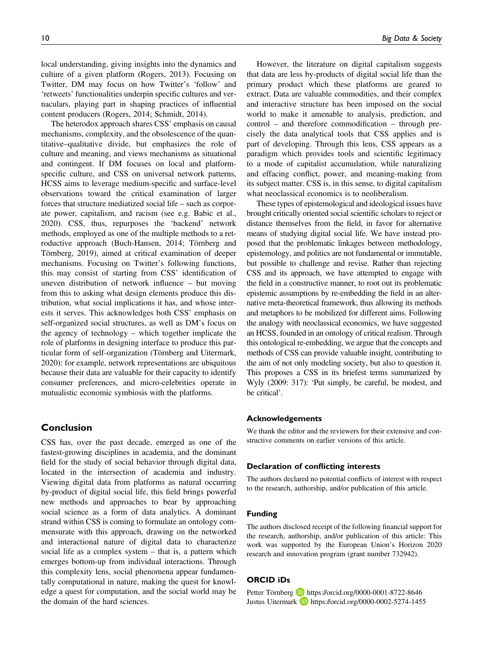local understanding, giving insights into the dynamics and culture of a given platform (Rogers, 2013). Focusing on Twitter, DM may focus on how Twitter's 'follow' and 'retweets' functionalities underpin specific cultures and vernaculars, playing part in shaping practices of influential content producers (Rogers, 2014; Schmidt, 2014).

The heterodox approach shares CSS' emphasis on causal mechanisms, complexity, and the obsolescence of the quantitative–qualitative divide, but emphasizes the role of culture and meaning, and views mechanisms as situational and contingent. If DM focuses on local and platformspecific culture, and CSS on universal network patterns, HCSS aims to leverage medium-specific and surface-level observations toward the critical examination of larger forces that structure mediatized social life – such as corporate power, capitalism, and racism (see e.g. Babic et al., 2020). CSS, thus, repurposes the 'backend' network methods, employed as one of the multiple methods to a retroductive approach (Buch-Hansen, 2014; Törnberg and Törnberg, 2019), aimed at critical examination of deeper mechanisms. Focusing on Twitter's following functions, this may consist of starting from CSS' identification of uneven distribution of network influence – but moving from this to asking what design elements produce this distribution, what social implications it has, and whose interests it serves. This acknowledges both CSS' emphasis on self-organized social structures, as well as DM's focus on the agency of technology – which together implicate the role of platforms in designing interface to produce this particular form of self-organization (Törnberg and Uitermark, 2020): for example, network representations are ubiquitous because their data are valuable for their capacity to identify consumer preferences, and micro-celebrities operate in mutualistic economic symbiosis with the platforms.

#### Conclusion

CSS has, over the past decade, emerged as one of the fastest-growing disciplines in academia, and the dominant field for the study of social behavior through digital data, located in the intersection of academia and industry. Viewing digital data from platforms as natural occurring by-product of digital social life, this field brings powerful new methods and approaches to bear by approaching social science as a form of data analytics. A dominant strand within CSS is coming to formulate an ontology commensurate with this approach, drawing on the networked and interactional nature of digital data to characterize social life as a complex system – that is, a pattern which emerges bottom-up from individual interactions. Through this complexity lens, social phenomena appear fundamentally computational in nature, making the quest for knowledge a quest for computation, and the social world may be the domain of the hard sciences.

However, the literature on digital capitalism suggests that data are less by-products of digital social life than the primary product which these platforms are geared to extract. Data are valuable commodities, and their complex and interactive structure has been imposed on the social world to make it amenable to analysis, prediction, and control – and therefore commodification – through precisely the data analytical tools that CSS applies and is part of developing. Through this lens, CSS appears as a paradigm which provides tools and scientific legitimacy to a mode of capitalist accumulation, while naturalizing and effacing conflict, power, and meaning-making from its subject matter. CSS is, in this sense, to digital capitalism what neoclassical economics is to neoliberalism.

These types of epistemological and ideological issues have brought critically oriented social scientific scholars to reject or distance themselves from the field, in favor for alternative means of studying digital social life. We have instead proposed that the problematic linkages between methodology, epistemology, and politics are not fundamental or immutable, but possible to challenge and revise. Rather than rejecting CSS and its approach, we have attempted to engage with the field in a constructive manner, to root out its problematic epistemic assumptions by re-embedding the field in an alternative meta-theoretical framework, thus allowing its methods and metaphors to be mobilized for different aims. Following the analogy with neoclassical economics, we have suggested an HCSS, founded in an ontology of critical realism. Through this ontological re-embedding, we argue that the concepts and methods of CSS can provide valuable insight, contributing to the aim of not only modeling society, but also to question it. This proposes a CSS in its briefest terms summarized by Wyly (2009: 317): 'Put simply, be careful, be modest, and be critical'.

#### Acknowledgements

We thank the editor and the reviewers for their extensive and constructive comments on earlier versions of this article.

#### Declaration of conflicting interests

The authors declared no potential conflicts of interest with respect to the research, authorship, and/or publication of this article.

#### Funding

The authors disclosed receipt of the following financial support for the research, authorship, and/or publication of this article: This work was supported by the European Union's Horizon 2020 research and innovation program (grant number 732942).

#### ORCID iDs

Petter Törnberg **b** <https://orcid.org/0000-0001-8722-8646> Justus Uitermark **b** <https://orcid.org/0000-0002-5274-1455>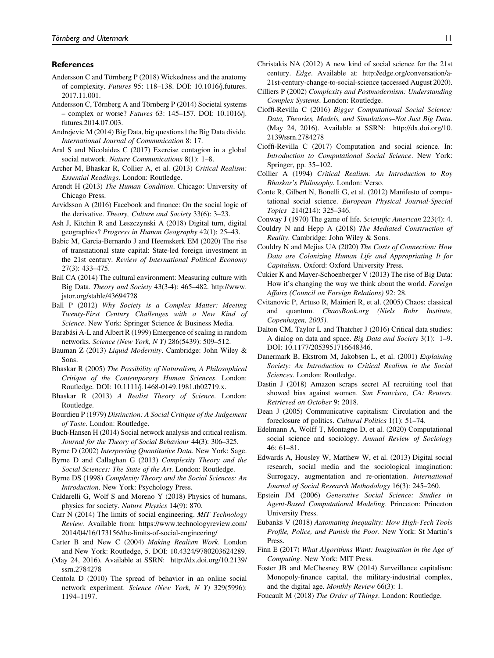#### References

- Andersson C and Törnberg P (2018) Wickedness and the anatomy of complexity. [Futures](https://doi.org/10.1016/j.futures.2017.11.001) 95: 118–138. DOI: [10.1016/j.futures.](https://doi.org/10.1016/j.futures.2017.11.001) [2017.11.001](https://doi.org/10.1016/j.futures.2017.11.001).
- Andersson C, Törnberg A and Törnberg P (2014) Societal systems – complex or worse? Futures 63: 145–157. DOI: [10.1016/j.](https://doi.org/10.1016/j.futures.2014.07.003) [futures.2014.07.003](https://doi.org/10.1016/j.futures.2014.07.003).
- Andrejevic M (2014) Big Data, big questions | the Big Data divide. International Journal of Communication 8: 17.
- Aral S and Nicolaides C (2017) Exercise contagion in a global social network. Nature Communications 8(1): 1–8.
- Archer M, Bhaskar R, Collier A, et al. (2013) Critical Realism: Essential Readings. London: Routledge.
- Arendt H (2013) The Human Condition. Chicago: University of Chicago Press.
- Arvidsson A (2016) Facebook and finance: On the social logic of the derivative. Theory, Culture and Society 33(6): 3–23.
- Ash J, Kitchin R and Leszczynski A (2018) Digital turn, digital geographies? Progress in Human Geography 42(1): 25–43.
- Babic M, Garcia-Bernardo J and Heemskerk EM (2020) The rise of transnational state capital: State-led foreign investment in the 21st century. Review of International Political Economy 27(3): 433–475.
- Bail CA (2014) The cultural environment: Measuring culture with Big Data. [Theory and Society](http://www.jstor.org/stable/43694728) 43(3-4): 465–482. [http://www.](http://www.jstor.org/stable/43694728) [jstor.org/stable/43694728](http://www.jstor.org/stable/43694728)
- Ball P (2012) Why Society is a Complex Matter: Meeting Twenty-First Century Challenges with a New Kind of Science. New York: Springer Science & Business Media.
- Barabási A-L and Albert R (1999) Emergence of scaling in random networks. Science (New York, N Y) 286(5439): 509–512.
- Bauman Z (2013) Liquid Modernity. Cambridge: John Wiley & Sons.
- Bhaskar R (2005) The Possibility of Naturalism, A Philosophical Critique of the Contemporary Human Sciences. London: Routledge. DOI: [10.1111/j.1468-0149.1981.tb02719.x.](https://doi.org/10.1111/j.1468-0149.1981.tb02719.x)
- Bhaskar R (2013) A Realist Theory of Science. London: Routledge.
- Bourdieu P (1979) Distinction: A Social Critique of the Judgement of Taste. London: Routledge.
- Buch-Hansen H (2014) Social network analysis and critical realism. Journal for the Theory of Social Behaviour 44(3): 306–325.
- Byrne D (2002) Interpreting Quantitative Data. New York: Sage.
- Byrne D and Callaghan G (2013) Complexity Theory and the Social Sciences: The State of the Art. London: Routledge.
- Byrne DS (1998) Complexity Theory and the Social Sciences: An Introduction. New York: Psychology Press.
- Caldarelli G, Wolf S and Moreno Y (2018) Physics of humans, physics for society. Nature Physics 14(9): 870.
- Carr N (2014) The limits of social engineering. MIT Technology Review. Available from: [https://www.technologyreview.com/](https://www.technologyreview.com/2014/04/16/173156/the-limits-of-social-engineering/) [2014/04/16/173156/the-limits-of-social-engineering/](https://www.technologyreview.com/2014/04/16/173156/the-limits-of-social-engineering/)
- Carter B and New C (2004) Making Realism Work. London and New York: Routledge, 5. DOI: [10.4324/9780203624289](https://doi.org/10.4324/9780203624289).
- (May 24, 2016). Available at SSRN: [http://dx.doi.org/10.2139/](http://dx.doi.org/10.2139/ssrn.2784278) [ssrn.2784278](http://dx.doi.org/10.2139/ssrn.2784278)
- Centola D (2010) The spread of behavior in an online social network experiment. Science (New York, N Y) 329(5996): 1194–1197.
- Christakis NA (2012) A new kind of social science for the 21st century. Edge. Available at: [http://edge.org/conversation/a-](http://edge. org/conversation/a-21st-century-change-to-social-science)[21st-century-change-to-social-science](http://edge. org/conversation/a-21st-century-change-to-social-science) (accessed August 2020).
- Cilliers P (2002) Complexity and Postmodernism: Understanding Complex Systems. London: Routledge.
- Cioffi-Revilla C (2016) Bigger Computational Social Science: Data, Theories, Models, and Simulations–Not Just Big Data. (May 24, 2016). Available at SSRN: [http://dx.doi.org/10.](http://dx.doi.org/10.2139/ssrn.2784278) [2139/ssrn.2784278](http://dx.doi.org/10.2139/ssrn.2784278)
- Cioffi-Revilla C (2017) Computation and social science. In: Introduction to Computational Social Science. New York: Springer, pp. 35–102.
- Collier A (1994) Critical Realism: An Introduction to Roy Bhaskar's Philosophy. London: Verso.
- Conte R, Gilbert N, Bonelli G, et al. (2012) Manifesto of computational social science. European Physical Journal-Special Topics 214(214): 325–346.
- Conway J (1970) The game of life. Scientific American 223(4): 4.
- Couldry N and Hepp A (2018) The Mediated Construction of Reality. Cambridge: John Wiley & Sons.
- Couldry N and Mejias UA (2020) The Costs of Connection: How Data are Colonizing Human Life and Appropriating It for Capitalism. Oxford: Oxford University Press.
- Cukier K and Mayer-Schoenberger V (2013) The rise of Big Data: How it's changing the way we think about the world. Foreign Affairs (Council on Foreign Relations) 92: 28.
- Cvitanovic P, Artuso R, Mainieri R, et al. (2005) Chaos: classical and quantum. ChaosBook.org (Niels Bohr Institute, Copenhagen, 2005).
- Dalton CM, Taylor L and Thatcher J (2016) Critical data studies: A dialog on data and space. Big Data and Society 3(1): 1–9. DOI: [10.1177/2053951716648346.](https://doi.org/10.1177/2053951716648346)
- Danermark B, Ekstrom M, Jakobsen L, et al. (2001) Explaining Society: An Introduction to Critical Realism in the Social Sciences. London: Routledge.
- Dastin J (2018) Amazon scraps secret AI recruiting tool that showed bias against women. San Francisco, CA: Reuters. Retrieved on October 9: 2018.
- Dean J (2005) Communicative capitalism: Circulation and the foreclosure of politics. Cultural Politics 1(1): 51–74.
- Edelmann A, Wolff T, Montagne D, et al. (2020) Computational social science and sociology. Annual Review of Sociology 46: 61–81.
- Edwards A, Housley W, Matthew W, et al. (2013) Digital social research, social media and the sociological imagination: Surrogacy, augmentation and re-orientation. International Journal of Social Research Methodology 16(3): 245–260.
- Epstein JM (2006) Generative Social Science: Studies in Agent-Based Computational Modeling. Princeton: Princeton University Press.
- Eubanks V (2018) Automating Inequality: How High-Tech Tools Profile, Police, and Punish the Poor. New York: St Martin's Press.
- Finn E (2017) What Algorithms Want: Imagination in the Age of Computing. New York: MIT Press.
- Foster JB and McChesney RW (2014) Surveillance capitalism: Monopoly-finance capital, the military-industrial complex, and the digital age. Monthly Review 66(3): 1.
- Foucault M (2018) The Order of Things. London: Routledge.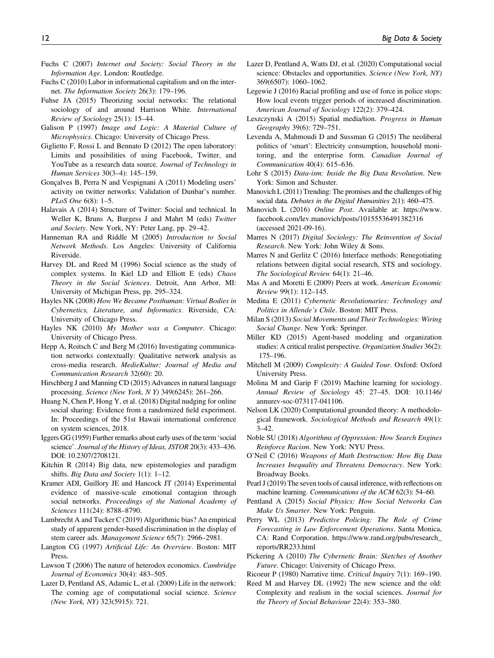- Fuchs C (2007) Internet and Society: Social Theory in the Information Age. London: Routledge.
- Fuchs C (2010) Labor in informational capitalism and on the internet. The Information Society 26(3): 179–196.
- Fuhse JA (2015) Theorizing social networks: The relational sociology of and around Harrison White. International Review of Sociology 25(1): 15–44.
- Galison P (1997) Image and Logic: A Material Culture of Microphysics. Chicago: University of Chicago Press.
- Giglietto F, Rossi L and Bennato D (2012) The open laboratory: Limits and possibilities of using Facebook, Twitter, and YouTube as a research data source. Journal of Technology in Human Services 30(3–4): 145–159.
- Gonçalves B, Perra N and Vespignani A (2011) Modeling users' activity on twitter networks: Validation of Dunbar's number. PLoS One 6(8): 1–5.
- Halavais A (2014) Structure of Twitter: Social and technical. In Weller K, Bruns A, Burgess J and Mahrt M (eds) Twitter and Society. New York, NY: Peter Lang, pp. 29–42.
- Hanneman RA and Riddle M (2005) Introduction to Social Network Methods. Los Angeles: University of California Riverside.
- Harvey DL and Reed M (1996) Social science as the study of complex systems. In Kiel LD and Elliott E (eds) Chaos Theory in the Social Sciences. Detroit, Ann Arbor, MI: University of Michigan Press, pp. 295–324.
- Hayles NK (2008) How We Became Posthuman: Virtual Bodies in Cybernetics, Literature, and Informatics. Riverside, CA: University of Chicago Press.
- Hayles NK (2010) My Mother was a Computer. Chicago: University of Chicago Press.
- Hepp A, Roitsch C and Berg M (2016) Investigating communication networks contextually: Qualitative network analysis as cross-media research. MedieKultur: Journal of Media and Communication Research 32(60): 20.
- Hirschberg J and Manning CD (2015) Advances in natural language processing. Science (New York, N Y) 349(6245): 261–266.
- Huang N, Chen P, Hong Y, et al. (2018) Digital nudging for online social sharing: Evidence from a randomized field experiment. In: Proceedings of the 51st Hawaii international conference on system sciences, 2018.
- Iggers GG (1959) Further remarks about early uses of the term 'social science'. Journal of the History of Ideas, JSTOR 20(3): 433–436. DOI: 10.2307/2708121.
- Kitchin R (2014) Big data, new epistemologies and paradigm shifts. Big Data and Society 1(1): 1-12.
- Kramer ADI, Guillory JE and Hancock JT (2014) Experimental evidence of massive-scale emotional contagion through social networks. Proceedings of the National Academy of Sciences 111(24): 8788–8790.
- Lambrecht A and Tucker C (2019) Algorithmic bias? An empirical study of apparent gender-based discrimination in the display of stem career ads. Management Science 65(7): 2966–2981.
- Langton CG (1997) Artificial Life: An Overview. Boston: MIT Press.
- Lawson T (2006) The nature of heterodox economics. Cambridge Journal of Economics 30(4): 483–505.
- Lazer D, Pentland AS, Adamic L, et al. (2009) Life in the network: The coming age of computational social science. Science (New York, NY) 323(5915): 721.
- Lazer D, Pentland A, Watts DJ, et al. (2020) Computational social science: Obstacles and opportunities. Science (New York, NY) 369(6507): 1060–1062.
- Legewie J (2016) Racial profiling and use of force in police stops: How local events trigger periods of increased discrimination. American Journal of Sociology 122(2): 379–424.
- Leszczynski A (2015) Spatial media/tion. Progress in Human Geography 39(6): 729–751.
- Levenda A, Mahmoudi D and Sussman G (2015) The neoliberal politics of 'smart': Electricity consumption, household monitoring, and the enterprise form. Canadian Journal of Communication 40(4): 615–636.
- Lohr S (2015) Data-ism: Inside the Big Data Revolution. New York: Simon and Schuster.
- Manovich L (2011) Trending: The promises and the challenges of big social data. Debates in the Digital Humanities 2(1): 460–475.
- Manovich L (2016) Online Post. Available at: [https://www.](https://www.facebook.com/lev.manovich/posts/10155536491382316) [facebook.com/lev.manovich/posts/10155536491382316](https://www.facebook.com/lev.manovich/posts/10155536491382316) (accessed 2021-09-16).
- Marres N (2017) Digital Sociology: The Reinvention of Social Research. New York: John Wiley & Sons.
- Marres N and Gerlitz C (2016) Interface methods: Renegotiating relations between digital social research, STS and sociology. The Sociological Review 64(1): 21–46.
- Mas A and Moretti E (2009) Peers at work. American Economic Review 99(1): 112–145.
- Medina E (2011) Cybernetic Revolutionaries: Technology and Politics in Allende's Chile. Boston: MIT Press.
- Milan S (2013) Social Movements and Their Technologies: Wiring Social Change. New York: Springer.
- Miller KD (2015) Agent-based modeling and organization studies: A critical realist perspective. Organization Studies 36(2): 175–196.
- Mitchell M (2009) Complexity: A Guided Tour. Oxford: Oxford University Press.
- Molina M and Garip F (2019) Machine learning for sociology. [Annual Review of Sociology](https://doi.org/10.1146/annurev-soc-073117-041106) 45: 27–45. DOI: [10.1146/](https://doi.org/10.1146/annurev-soc-073117-041106) [annurev-soc-073117-041106.](https://doi.org/10.1146/annurev-soc-073117-041106)
- Nelson LK (2020) Computational grounded theory: A methodological framework. Sociological Methods and Research 49(1): 3–42.
- Noble SU (2018) Algorithms of Oppression: How Search Engines Reinforce Racism. New York: NYU Press.
- O'Neil C (2016) Weapons of Math Destruction: How Big Data Increases Inequality and Threatens Democracy. New York: Broadway Books.
- Pearl J (2019) The seven tools of causal inference, with reflections on machine learning. Communications of the ACM 62(3): 54–60.
- Pentland A (2015) Social Physics: How Social Networks Can Make Us Smarter. New York: Penguin.
- Perry WL (2013) [Predictive Policing: The Role of Crime](https://www.rand.org/pubs/research_reports/RR233.html) [Forecasting in Law Enforcement Operations](https://www.rand.org/pubs/research_reports/RR233.html). Santa Monica, CA: Rand Corporation. [https://www.rand.org/pubs/research\\_](https://www.rand.org/pubs/research_reports/RR233.html) [reports/RR233.html](https://www.rand.org/pubs/research_reports/RR233.html)
- Pickering A (2010) The Cybernetic Brain: Sketches of Another Future. Chicago: University of Chicago Press.
- Ricoeur P (1980) Narrative time. Critical Inquiry 7(1): 169–190.
- Reed M and Harvey DL (1992) The new science and the old: Complexity and realism in the social sciences. Journal for the Theory of Social Behaviour 22(4): 353–380.